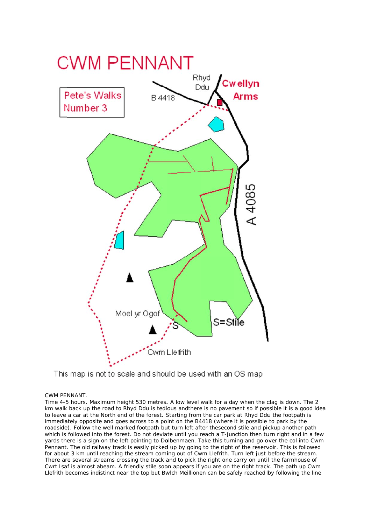

## This map is not to scale and should be used with an OS map

## CWM PE NNANT.

Time 4-5 hours. Maximum height 530 metres. A low level walk for a day when the clag is down. The 2 km walk back up the road to Rhyd Ddu is tedious andthere is no pavement so if possible it is a good idea to leave a car at the North end of the forest. Starting from the car park at Rhyd Ddu the footpath is immediately opposite and goes across to a point on the B4418 (where it is possible to park by the roadside). Follow the well marked footpath but turn left after thesecond stile and pickup another path which is followed into the forest. Do not deviate until you reach a T-junction then turn right and in a few yards there is a sign on the left pointing to Dolbenmaen. Take this turning and go over the col into Cwm Pennant. The old railway track is easily picked up by going to the right of the reservoir. This is followed for about 3 km until reaching the stream coming out of Cwm Llefrith. Turn left just before the stream. There are several streams crossing the track and to pick the right one carry on until the farmhouse of Cwrt Isaf is almost abeam. A friendly stile soon appears if you are on the right track. The path up Cwm Llefrith becomes indistinct near the top but Bwlch Meillionen can be safely reached by following the line